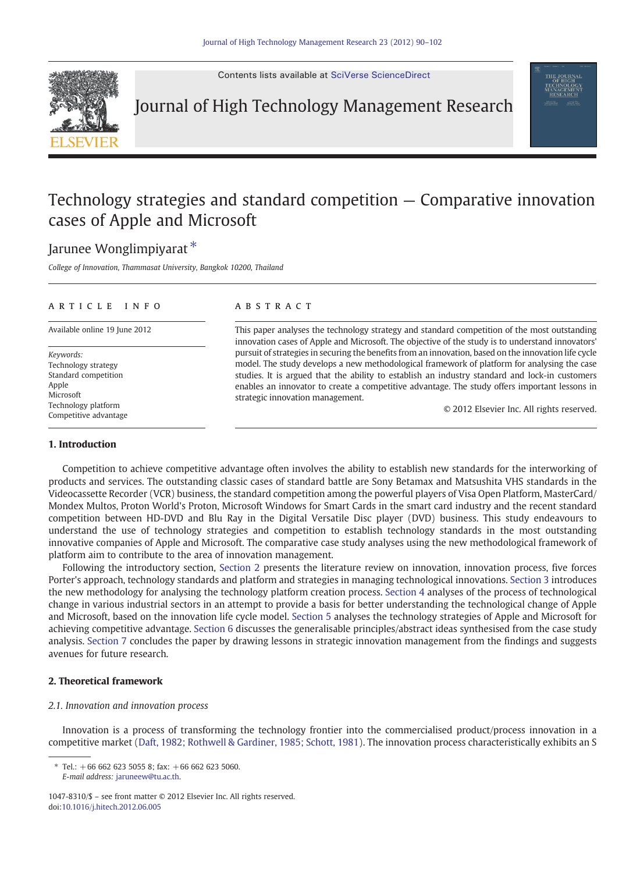

Contents lists available at [SciVerse ScienceDirect](http://www.sciencedirect.com/science/journal/10478310)

Journal of High Technology Management Research

## Technology strategies and standard competition — Comparative innovation cases of Apple and Microsoft

### Jarunee Wonglimpiyarat<sup>\*</sup>

College of Innovation, Thammasat University, Bangkok 10200, Thailand

#### article info abstract

Keywords: Technology strategy Standard competition Apple Microsoft Technology platform Competitive advantage

Available online 19 June 2012 This paper analyses the technology strategy and standard competition of the most outstanding innovation cases of Apple and Microsoft. The objective of the study is to understand innovators' pursuit of strategies in securing the benefits from an innovation, based on the innovation life cycle model. The study develops a new methodological framework of platform for analysing the case studies. It is argued that the ability to establish an industry standard and lock-in customers enables an innovator to create a competitive advantage. The study offers important lessons in strategic innovation management.

© 2012 Elsevier Inc. All rights reserved.

#### 1. Introduction

Competition to achieve competitive advantage often involves the ability to establish new standards for the interworking of products and services. The outstanding classic cases of standard battle are Sony Betamax and Matsushita VHS standards in the Videocassette Recorder (VCR) business, the standard competition among the powerful players of Visa Open Platform, MasterCard/ Mondex Multos, Proton World's Proton, Microsoft Windows for Smart Cards in the smart card industry and the recent standard competition between HD-DVD and Blu Ray in the Digital Versatile Disc player (DVD) business. This study endeavours to understand the use of technology strategies and competition to establish technology standards in the most outstanding innovative companies of Apple and Microsoft. The comparative case study analyses using the new methodological framework of platform aim to contribute to the area of innovation management.

Following the introductory section, Section 2 presents the literature review on innovation, innovation process, five forces Porter's approach, technology standards and platform and strategies in managing technological innovations. [Section 3](#page--1-0) introduces the new methodology for analysing the technology platform creation process. [Section 4](#page--1-0) analyses of the process of technological change in various industrial sectors in an attempt to provide a basis for better understanding the technological change of Apple and Microsoft, based on the innovation life cycle model. [Section 5](#page--1-0) analyses the technology strategies of Apple and Microsoft for achieving competitive advantage. [Section 6](#page--1-0) discusses the generalisable principles/abstract ideas synthesised from the case study analysis. [Section 7](#page--1-0) concludes the paper by drawing lessons in strategic innovation management from the findings and suggests avenues for future research.

### 2. Theoretical framework

#### 2.1. Innovation and innovation process

Innovation is a process of transforming the technology frontier into the commercialised product/process innovation in a competitive market ([Daft, 1982; Rothwell & Gardiner, 1985; Schott, 1981](#page--1-0)). The innovation process characteristically exhibits an S

Tel.:  $+6666262350558$ ; fax:  $+666626235060$ . E-mail address: [jaruneew@tu.ac.th.](mailto:jaruneew@tu.ac.th)

<sup>1047-8310/\$</sup> – see front matter © 2012 Elsevier Inc. All rights reserved. doi:[10.1016/j.hitech.2012.06.005](http://dx.doi.org/10.1016/j.hitech.2012.06.005)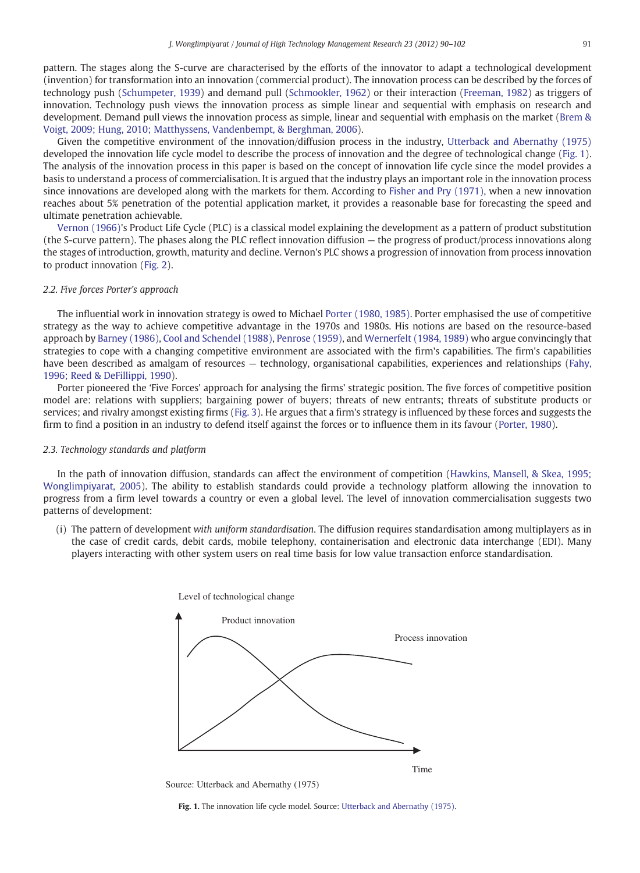pattern. The stages along the S-curve are characterised by the efforts of the innovator to adapt a technological development (invention) for transformation into an innovation (commercial product). The innovation process can be described by the forces of technology push ([Schumpeter, 1939](#page--1-0)) and demand pull ([Schmookler, 1962\)](#page--1-0) or their interaction [\(Freeman, 1982\)](#page--1-0) as triggers of innovation. Technology push views the innovation process as simple linear and sequential with emphasis on research and development. Demand pull views the innovation process as simple, linear and sequential with emphasis on the market [\(Brem &](#page--1-0) [Voigt, 2009; Hung, 2010; Matthyssens, Vandenbempt, & Berghman, 2006\)](#page--1-0).

Given the competitive environment of the innovation/diffusion process in the industry, [Utterback and Abernathy \(1975\)](#page--1-0) developed the innovation life cycle model to describe the process of innovation and the degree of technological change (Fig. 1). The analysis of the innovation process in this paper is based on the concept of innovation life cycle since the model provides a basis to understand a process of commercialisation. It is argued that the industry plays an important role in the innovation process since innovations are developed along with the markets for them. According to [Fisher and Pry \(1971\)](#page--1-0), when a new innovation reaches about 5% penetration of the potential application market, it provides a reasonable base for forecasting the speed and ultimate penetration achievable.

[Vernon \(1966\)](#page--1-0)'s Product Life Cycle (PLC) is a classical model explaining the development as a pattern of product substitution (the S-curve pattern). The phases along the PLC reflect innovation diffusion — the progress of product/process innovations along the stages of introduction, growth, maturity and decline. Vernon's PLC shows a progression of innovation from process innovation to product innovation ([Fig. 2](#page--1-0)).

#### 2.2. Five forces Porter's approach

The influential work in innovation strategy is owed to Michael [Porter \(1980, 1985\).](#page--1-0) Porter emphasised the use of competitive strategy as the way to achieve competitive advantage in the 1970s and 1980s. His notions are based on the resource-based approach by [Barney \(1986\)](#page--1-0), [Cool and Schendel \(1988\),](#page--1-0) [Penrose \(1959\)](#page--1-0), and [Wernerfelt \(1984, 1989\)](#page--1-0) who argue convincingly that strategies to cope with a changing competitive environment are associated with the firm's capabilities. The firm's capabilities have been described as amalgam of resources — technology, organisational capabilities, experiences and relationships [\(Fahy,](#page--1-0) [1996; Reed & DeFillippi, 1990\)](#page--1-0).

Porter pioneered the 'Five Forces' approach for analysing the firms' strategic position. The five forces of competitive position model are: relations with suppliers; bargaining power of buyers; threats of new entrants; threats of substitute products or services; and rivalry amongst existing firms ([Fig. 3](#page--1-0)). He argues that a firm's strategy is influenced by these forces and suggests the firm to find a position in an industry to defend itself against the forces or to influence them in its favour [\(Porter, 1980](#page--1-0)).

#### 2.3. Technology standards and platform

In the path of innovation diffusion, standards can affect the environment of competition ([Hawkins, Mansell, & Skea, 1995;](#page--1-0) [Wonglimpiyarat, 2005](#page--1-0)). The ability to establish standards could provide a technology platform allowing the innovation to progress from a firm level towards a country or even a global level. The level of innovation commercialisation suggests two patterns of development:

(i) The pattern of development with uniform standardisation. The diffusion requires standardisation among multiplayers as in the case of credit cards, debit cards, mobile telephony, containerisation and electronic data interchange (EDI). Many players interacting with other system users on real time basis for low value transaction enforce standardisation.



Fig. 1. The innovation life cycle model. Source: [Utterback and Abernathy \(1975\).](#page--1-0)